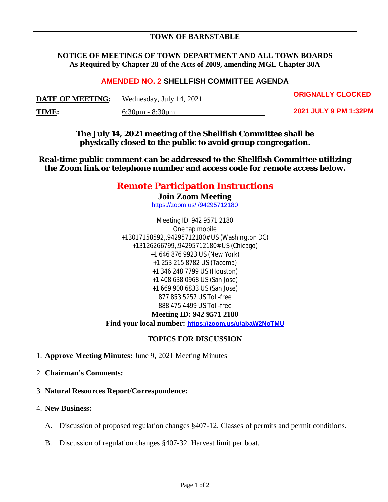### **TOWN OF BARNSTABLE**

### **NOTICE OF MEETINGS OF TOWN DEPARTMENT AND ALL TOWN BOARDS As Required by Chapter 28 of the Acts of 2009, amending MGL Chapter 30A**

### **AMENDED NO. 2 SHELLFISH COMMITTEE AGENDA**

| <b>DATE OF MEETING:</b> | Wednesday, July 14, 2021          | UNIUNALL I ULUUNED    |
|-------------------------|-----------------------------------|-----------------------|
| TIME:                   | $6:30 \text{pm} - 8:30 \text{pm}$ | 2021 JULY 9 PM 1:32PM |

**ORIGNALLY CLOCKED**

**The July 14, 2021 meeting of the Shellfish Committee shall be physically closed to the public to avoid group congregation.**

**Real-time public comment can be addressed to the Shellfish Committee utilizing the Zoom link or telephone number and access code for remote access below.**

# **Remote Participation Instructions**

**Join Zoom Meeting** https://zoom.us/j/94295712180

Meeting ID: 942 9571 2180 One tap mobile +13017158592,,94295712180# US (Washington DC) +13126266799,,94295712180# US (Chicago) +1 646 876 9923 US (New York) +1 253 215 8782 US (Tacoma) +1 346 248 7799 US (Houston) +1 408 638 0968 US (San Jose) +1 669 900 6833 US (San Jose) 877 853 5257 US Toll-free 888 475 4499 US Toll-free **Meeting ID: 942 9571 2180**

**Find your local number: https://zoom.us/u/abaW2NoTMU**

#### **TOPICS FOR DISCUSSION**

- 1. **Approve Meeting Minutes:** June 9, 2021 Meeting Minutes
- 2. **Chairman's Comments:**
- 3. **Natural Resources Report/Correspondence:**
- 4. **New Business:**
	- A. Discussion of proposed regulation changes §407-12. Classes of permits and permit conditions.
	- B. Discussion of regulation changes §407-32. Harvest limit per boat.